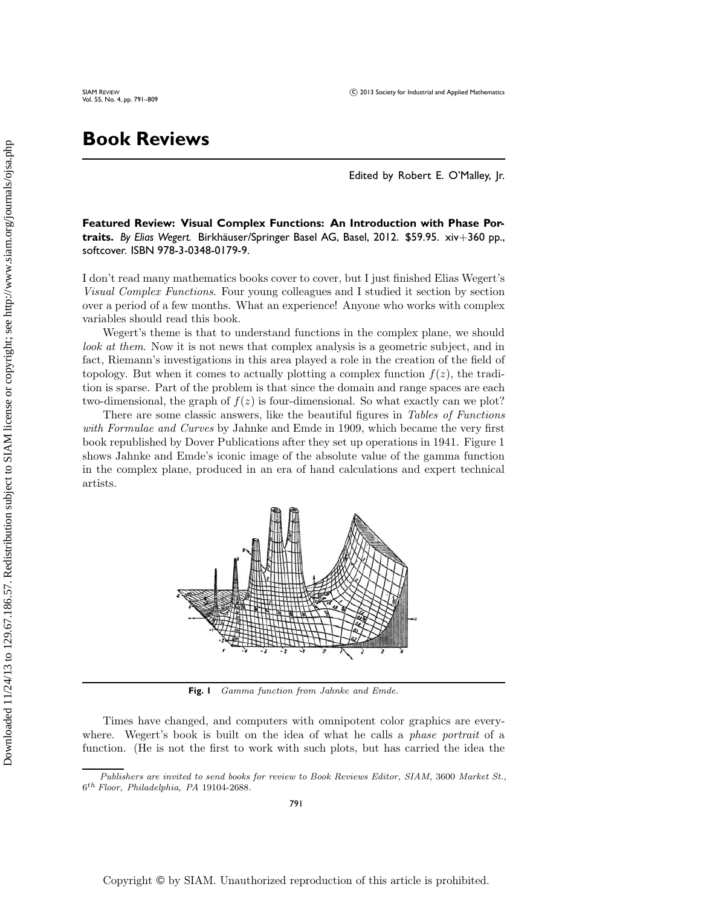## **Book Reviews**

Edited by Robert E. O'Malley, Jr.

**Featured Review: Visual Complex Functions: An Introduction with Phase Por**traits. By Elias Wegert. Birkhäuser/Springer Basel AG, Basel, 2012. \$59.95. xiv+360 pp., softcover. ISBN 978-3-0348-0179-9.

I don't read many mathematics books cover to cover, but I just finished Elias Wegert's *Visual Complex Functions*. Four young colleagues and I studied it section by section over a period of a few months. What an experience! Anyone who works with complex variables should read this book.

Wegert's theme is that to understand functions in the complex plane, we should *look at them.* Now it is not news that complex analysis is a geometric subject, and in fact, Riemann's investigations in this area played a role in the creation of the field of topology. But when it comes to actually plotting a complex function  $f(z)$ , the tradition is sparse. Part of the problem is that since the domain and range spaces are each two-dimensional, the graph of  $f(z)$  is four-dimensional. So what exactly can we plot?

There are some classic answers, like the beautiful figures in *Tables of Functions with Formulae and Curves* by Jahnke and Emde in 1909, which became the very first book republished by Dover Publications after they set up operations in 1941. Figure 1 shows Jahnke and Emde's iconic image of the absolute value of the gamma function in the complex plane, produced in an era of hand calculations and expert technical artists.



**Fig. 1** Gamma function from Jahnke and Emde.

Times have changed, and computers with omnipotent color graphics are everywhere. Wegert's book is built on the idea of what he calls a *phase portrait* of a function. (He is not the first to work with such plots, but has carried the idea the

Publishers are invited to send books for review to Book Reviews Editor, SIAM, 3600 Market St.,  $6^{th}\ Floor,\ Philadelpha,\ PA$ 19104-2688.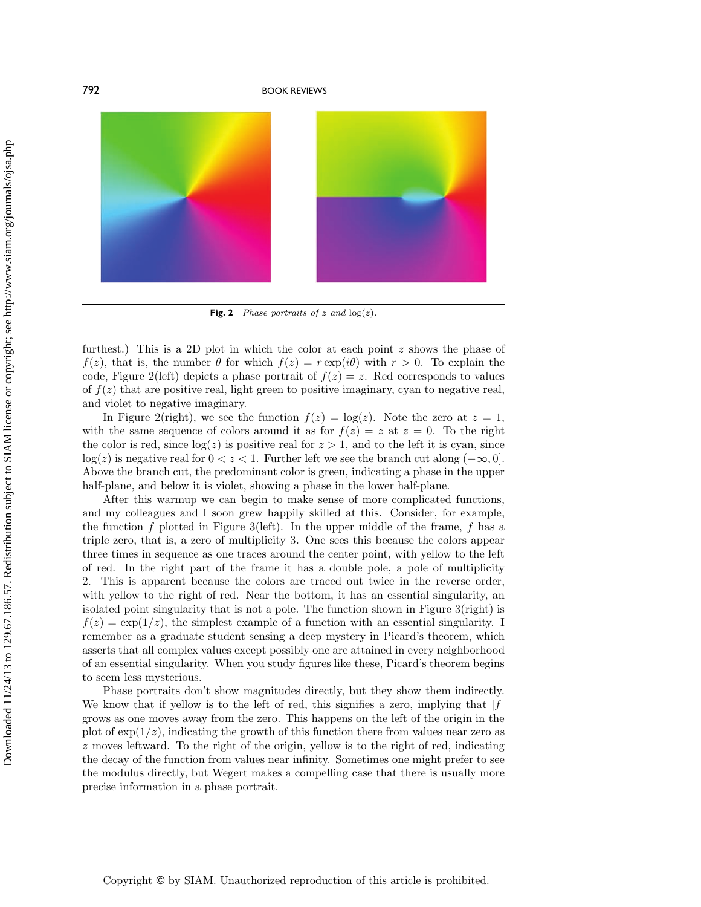

**Fig. 2** Phase portraits of z and  $log(z)$ .

furthest.) This is a 2D plot in which the color at each point  $z$  shows the phase of  $f(z)$ , that is, the number  $\theta$  for which  $f(z) = r \exp(i\theta)$  with  $r > 0$ . To explain the code, Figure 2(left) depicts a phase portrait of  $f(z) = z$ . Red corresponds to values of  $f(z)$  that are positive real, light green to positive imaginary, cyan to negative real, and violet to negative imaginary.

In Figure 2(right), we see the function  $f(z) = \log(z)$ . Note the zero at  $z = 1$ , with the same sequence of colors around it as for  $f(z) = z$  at  $z = 0$ . To the right the color is red, since  $log(z)$  is positive real for  $z > 1$ , and to the left it is cyan, since  $\log(z)$  is negative real for  $0 < z < 1$ . Further left we see the branch cut along  $(-\infty, 0]$ . Above the branch cut, the predominant color is green, indicating a phase in the upper half-plane, and below it is violet, showing a phase in the lower half-plane.

After this warmup we can begin to make sense of more complicated functions, and my colleagues and I soon grew happily skilled at this. Consider, for example, the function f plotted in Figure 3(left). In the upper middle of the frame,  $f$  has a triple zero, that is, a zero of multiplicity 3. One sees this because the colors appear three times in sequence as one traces around the center point, with yellow to the left of red. In the right part of the frame it has a double pole, a pole of multiplicity 2. This is apparent because the colors are traced out twice in the reverse order, with yellow to the right of red. Near the bottom, it has an essential singularity, an isolated point singularity that is not a pole. The function shown in Figure 3(right) is  $f(z) = \exp(1/z)$ , the simplest example of a function with an essential singularity. I remember as a graduate student sensing a deep mystery in Picard's theorem, which asserts that all complex values except possibly one are attained in every neighborhood of an essential singularity. When you study figures like these, Picard's theorem begins to seem less mysterious.

Phase portraits don't show magnitudes directly, but they show them indirectly. We know that if yellow is to the left of red, this signifies a zero, implying that  $|f|$ grows as one moves away from the zero. This happens on the left of the origin in the plot of  $\exp(1/z)$ , indicating the growth of this function there from values near zero as z moves leftward. To the right of the origin, yellow is to the right of red, indicating the decay of the function from values near infinity. Sometimes one might prefer to see the modulus directly, but Wegert makes a compelling case that there is usually more precise information in a phase portrait.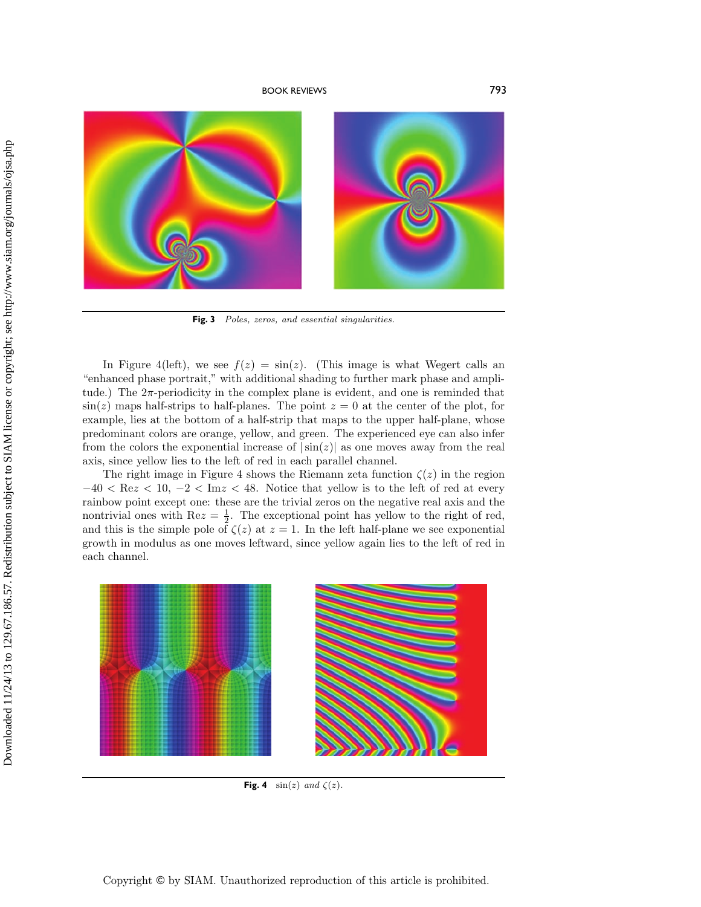

Fig. 3 Poles, zeros, and essential singularities.

In Figure 4(left), we see  $f(z) = \sin(z)$ . (This image is what Wegert calls an "enhanced phase portrait," with additional shading to further mark phase and amplitude.) The  $2\pi$ -periodicity in the complex plane is evident, and one is reminded that  $\sin(z)$  maps half-strips to half-planes. The point  $z = 0$  at the center of the plot, for example, lies at the bottom of a half-strip that maps to the upper half-plane, whose predominant colors are orange, yellow, and green. The experienced eye can also infer from the colors the exponential increase of  $|\sin(z)|$  as one moves away from the real axis, since yellow lies to the left of red in each parallel channel.

The right image in Figure 4 shows the Riemann zeta function  $\zeta(z)$  in the region  $-40 < \text{Re}z < 10, -2 < \text{Im}z < 48.$  Notice that yellow is to the left of red at every rainbow point except one: these are the trivial zeros on the negative real axis and the nontrivial ones with  $\text{Re}z = \frac{1}{2}$ . The exceptional point has yellow to the right of red, and this is the simple pole of  $\zeta(z)$  at  $z = 1$ . In the left half-plane we see exponential growth in modulus as one moves leftward, since yellow again lies to the left of red in each channel.



**Fig. 4** sin(z) and  $\zeta(z)$ .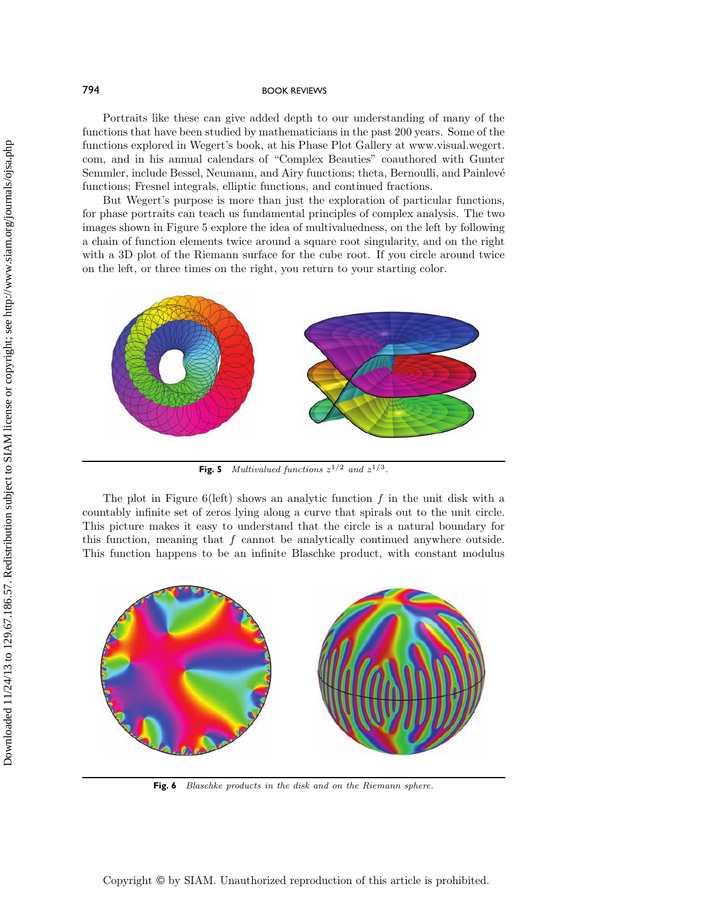Portraits like these can give added depth to our understanding of many of the functions that have been studied by mathematicians in the past 200 years. Some of the functions explored in Wegert's book, at his Phase Plot Gallery at www.visual.wegert. com, and in his annual calendars of "Complex Beauties" coauthored with Gunter Semmler, include Bessel, Neumann, and Airy functions; theta, Bernoulli, and Painlevé functions; Fresnel integrals, elliptic functions, and continued fractions.

But Wegert's purpose is more than just the exploration of particular functions, for phase portraits can teach us fundamental principles of complex analysis. The two images shown in Figure 5 explore the idea of multivaluedness, on the left by following a chain of function elements twice around a square root singularity, and on the right with a 3D plot of the Riemann surface for the cube root. If you circle around twice on the left, or three times on the right, you return to your starting color.



**Fig. 5** Multivalued functions  $z^{1/2}$  and  $z^{1/3}$ .

The plot in Figure 6(left) shows an analytic function f in the unit disk with a countably infinite set of zeros lying along a curve that spirals out to the unit circle. This picture makes it easy to understand that the circle is a natural boundary for this function, meaning that  $f$  cannot be analytically continued anywhere outside. This function happens to be an infinite Blaschke product, with constant modulus



**Fig. 6** Blaschke products in the disk and on the Riemann sphere.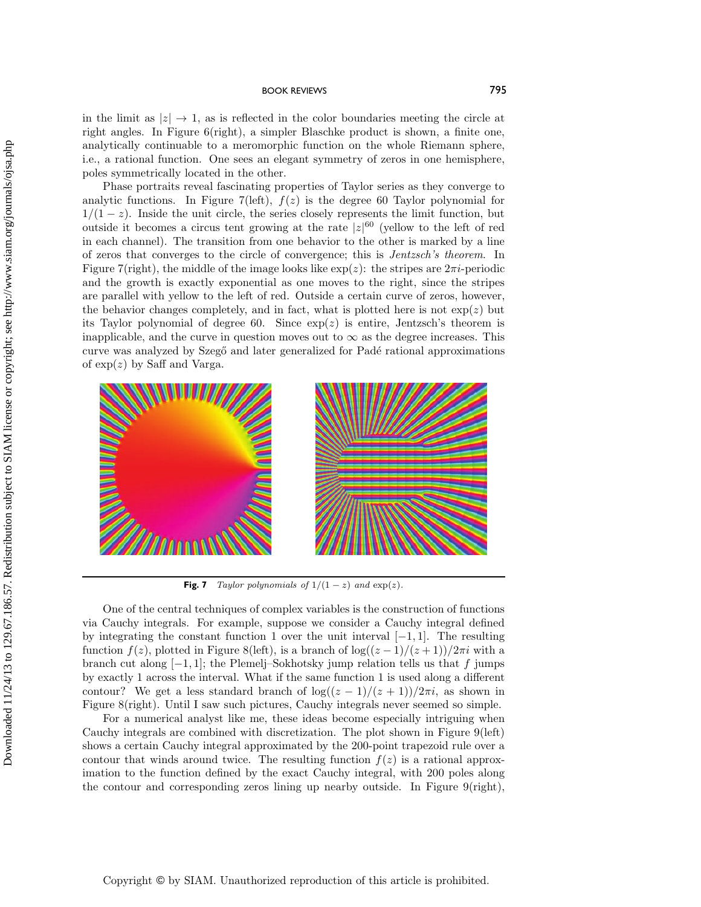in the limit as  $|z| \to 1$ , as is reflected in the color boundaries meeting the circle at right angles. In Figure 6(right), a simpler Blaschke product is shown, a finite one, analytically continuable to a meromorphic function on the whole Riemann sphere, i.e., a rational function. One sees an elegant symmetry of zeros in one hemisphere, poles symmetrically located in the other.

Phase portraits reveal fascinating properties of Taylor series as they converge to analytic functions. In Figure 7(left),  $f(z)$  is the degree 60 Taylor polynomial for  $1/(1-z)$ . Inside the unit circle, the series closely represents the limit function, but outside it becomes a circus tent growing at the rate  $|z|^{60}$  (yellow to the left of red in each channel). The transition from one behavior to the other is marked by a line of zeros that converges to the circle of convergence; this is *Jentzsch's theorem*. In Figure 7(right), the middle of the image looks like  $\exp(z)$ : the stripes are  $2\pi i$ -periodic and the growth is exactly exponential as one moves to the right, since the stripes are parallel with yellow to the left of red. Outside a certain curve of zeros, however, the behavior changes completely, and in fact, what is plotted here is not  $\exp(z)$  but its Taylor polynomial of degree 60. Since  $exp(z)$  is entire, Jentzsch's theorem is inapplicable, and the curve in question moves out to  $\infty$  as the degree increases. This curve was analyzed by Szegő and later generalized for Padé rational approximations of  $\exp(z)$  by Saff and Varga.



**Fig. 7** Taylor polynomials of  $1/(1-z)$  and  $exp(z)$ .

One of the central techniques of complex variables is the construction of functions via Cauchy integrals. For example, suppose we consider a Cauchy integral defined by integrating the constant function 1 over the unit interval  $[-1, 1]$ . The resulting function  $f(z)$ , plotted in Figure 8(left), is a branch of log( $(z-1)/(z+1)/2\pi i$  with a branch cut along  $[-1, 1]$ ; the Plemelj–Sokhotsky jump relation tells us that f jumps by exactly 1 across the interval. What if the same function 1 is used along a different contour? We get a less standard branch of  $\log((z-1)/(z+1))/2\pi i$ , as shown in Figure 8(right). Until I saw such pictures, Cauchy integrals never seemed so simple.

For a numerical analyst like me, these ideas become especially intriguing when Cauchy integrals are combined with discretization. The plot shown in Figure 9(left) shows a certain Cauchy integral approximated by the 200-point trapezoid rule over a contour that winds around twice. The resulting function  $f(z)$  is a rational approximation to the function defined by the exact Cauchy integral, with 200 poles along the contour and corresponding zeros lining up nearby outside. In Figure 9(right),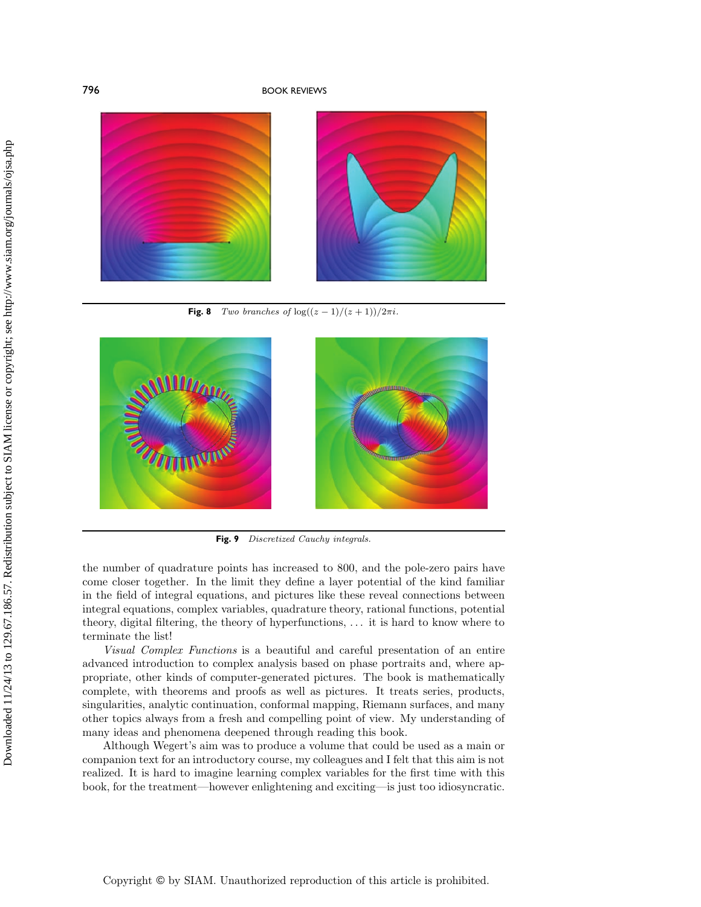

**Fig. 8** Two branches of  $\log((z-1)/(z+1))/2\pi i$ .



**Fig. 9** Discretized Cauchy integrals.

the number of quadrature points has increased to 800, and the pole-zero pairs have come closer together. In the limit they define a layer potential of the kind familiar in the field of integral equations, and pictures like these reveal connections between integral equations, complex variables, quadrature theory, rational functions, potential theory, digital filtering, the theory of hyperfunctions, ... it is hard to know where to terminate the list!

*Visual Complex Functions* is a beautiful and careful presentation of an entire advanced introduction to complex analysis based on phase portraits and, where appropriate, other kinds of computer-generated pictures. The book is mathematically complete, with theorems and proofs as well as pictures. It treats series, products, singularities, analytic continuation, conformal mapping, Riemann surfaces, and many other topics always from a fresh and compelling point of view. My understanding of many ideas and phenomena deepened through reading this book.

Although Wegert's aim was to produce a volume that could be used as a main or companion text for an introductory course, my colleagues and I felt that this aim is not realized. It is hard to imagine learning complex variables for the first time with this book, for the treatment—however enlightening and exciting—is just too idiosyncratic.